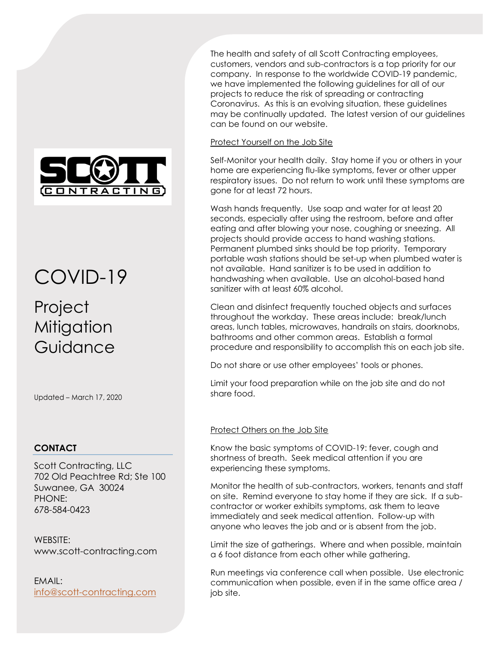

# COVID-19

## Project **Mitigation** Guidance

Updated – March 17, 2020

### **CONTACT**

Scott Contracting, LLC 702 Old Peachtree Rd; Ste 100 Suwanee, GA 30024 PHONE: 678-584-0423

WEBSITE: www.scott-contracting.com

EMAIL: info@scott-contracting.com The health and safety of all Scott Contracting employees, customers, vendors and sub-contractors is a top priority for our company. In response to the worldwide COVID-19 pandemic, we have implemented the following guidelines for all of our projects to reduce the risk of spreading or contracting Coronavirus. As this is an evolving situation, these guidelines may be continually updated. The latest version of our guidelines can be found on our website.

#### Protect Yourself on the Job Site

Self-Monitor your health daily. Stay home if you or others in your home are experiencing flu-like symptoms, fever or other upper respiratory issues. Do not return to work until these symptoms are gone for at least 72 hours.

Wash hands frequently. Use soap and water for at least 20 seconds, especially after using the restroom, before and after eating and after blowing your nose, coughing or sneezing. All projects should provide access to hand washing stations. Permanent plumbed sinks should be top priority. Temporary portable wash stations should be set-up when plumbed water is not available. Hand sanitizer is to be used in addition to handwashing when available. Use an alcohol-based hand sanitizer with at least 60% alcohol.

Clean and disinfect frequently touched objects and surfaces throughout the workday. These areas include: break/lunch areas, lunch tables, microwaves, handrails on stairs, doorknobs, bathrooms and other common areas. Establish a formal procedure and responsibility to accomplish this on each job site.

Do not share or use other employees' tools or phones.

Limit your food preparation while on the job site and do not share food.

#### Protect Others on the Job Site

Know the basic symptoms of COVID-19: fever, cough and shortness of breath. Seek medical attention if you are experiencing these symptoms.

Monitor the health of sub-contractors, workers, tenants and staff on site. Remind everyone to stay home if they are sick. If a subcontractor or worker exhibits symptoms, ask them to leave immediately and seek medical attention. Follow-up with anyone who leaves the job and or is absent from the job.

Limit the size of gatherings. Where and when possible, maintain a 6 foot distance from each other while gathering.

Run meetings via conference call when possible. Use electronic communication when possible, even if in the same office area / job site.